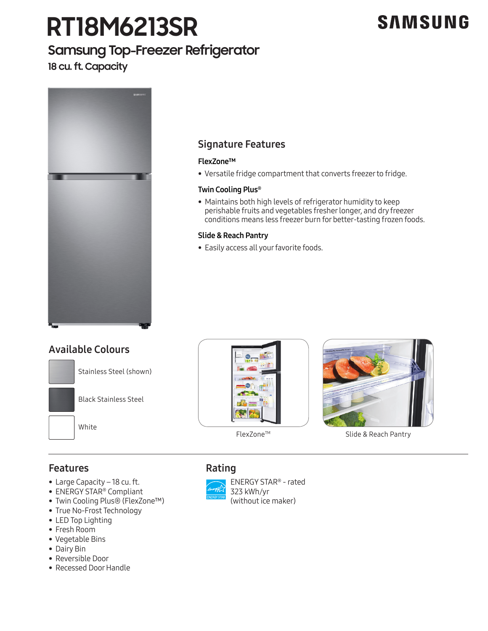# **RT18M6213SR**

## **Samsung Top-Freezer Refrigerator**

**18 cu. ft. Capacity**



## Signature Features

### FlexZone™

• Versatile fridge compartment that converts freezer to fridge.

### Twin Cooling Plus®

• Maintains both high levels of refrigerator humidity to keep perishable fruits and vegetables fresher longer, and dry freezer conditions means less freezer burn for better-tasting frozen foods.

### Slide & Reach Pantry

• Easily access all your favorite foods.

### Available Colours







FlexZone<sup>™</sup> Slide & Reach Pantry

### Features

- Large Capacity 18 cu. ft.
- ENERGY STAR® Compliant
- Twin Cooling Plus® (FlexZone™)
- True No-Frost Technology
- LED Top Lighting
- Fresh Room
- Vegetable Bins
- Dairy Bin
- Reversible Door
- Recessed Door Handle



 ENERGY STAR® - rated 323 kWh/yr (without ice maker)

## **SAMSUNG**